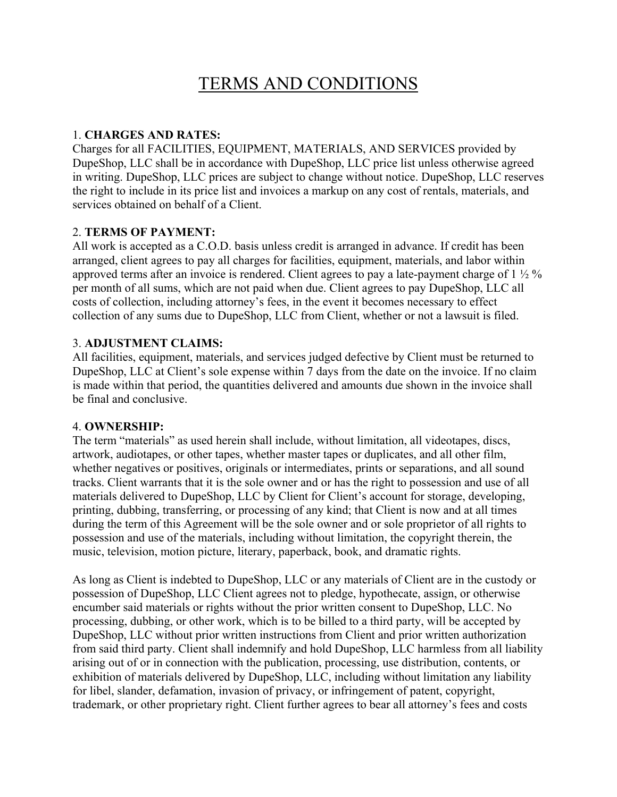# TERMS AND CONDITIONS

## 1. **CHARGES AND RATES:**

Charges for all FACILITIES, EQUIPMENT, MATERIALS, AND SERVICES provided by DupeShop, LLC shall be in accordance with DupeShop, LLC price list unless otherwise agreed in writing. DupeShop, LLC prices are subject to change without notice. DupeShop, LLC reserves the right to include in its price list and invoices a markup on any cost of rentals, materials, and services obtained on behalf of a Client.

# 2. **TERMS OF PAYMENT:**

All work is accepted as a C.O.D. basis unless credit is arranged in advance. If credit has been arranged, client agrees to pay all charges for facilities, equipment, materials, and labor within approved terms after an invoice is rendered. Client agrees to pay a late-payment charge of 1 ½ % per month of all sums, which are not paid when due. Client agrees to pay DupeShop, LLC all costs of collection, including attorney's fees, in the event it becomes necessary to effect collection of any sums due to DupeShop, LLC from Client, whether or not a lawsuit is filed.

# 3. **ADJUSTMENT CLAIMS:**

All facilities, equipment, materials, and services judged defective by Client must be returned to DupeShop, LLC at Client's sole expense within 7 days from the date on the invoice. If no claim is made within that period, the quantities delivered and amounts due shown in the invoice shall be final and conclusive.

## 4. **OWNERSHIP:**

The term "materials" as used herein shall include, without limitation, all videotapes, discs, artwork, audiotapes, or other tapes, whether master tapes or duplicates, and all other film, whether negatives or positives, originals or intermediates, prints or separations, and all sound tracks. Client warrants that it is the sole owner and or has the right to possession and use of all materials delivered to DupeShop, LLC by Client for Client's account for storage, developing, printing, dubbing, transferring, or processing of any kind; that Client is now and at all times during the term of this Agreement will be the sole owner and or sole proprietor of all rights to possession and use of the materials, including without limitation, the copyright therein, the music, television, motion picture, literary, paperback, book, and dramatic rights.

As long as Client is indebted to DupeShop, LLC or any materials of Client are in the custody or possession of DupeShop, LLC Client agrees not to pledge, hypothecate, assign, or otherwise encumber said materials or rights without the prior written consent to DupeShop, LLC. No processing, dubbing, or other work, which is to be billed to a third party, will be accepted by DupeShop, LLC without prior written instructions from Client and prior written authorization from said third party. Client shall indemnify and hold DupeShop, LLC harmless from all liability arising out of or in connection with the publication, processing, use distribution, contents, or exhibition of materials delivered by DupeShop, LLC, including without limitation any liability for libel, slander, defamation, invasion of privacy, or infringement of patent, copyright, trademark, or other proprietary right. Client further agrees to bear all attorney's fees and costs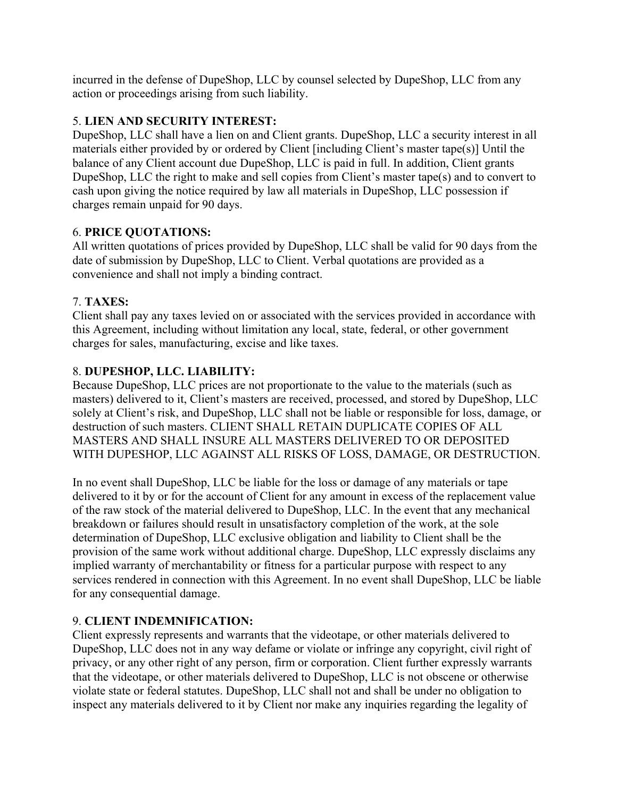incurred in the defense of DupeShop, LLC by counsel selected by DupeShop, LLC from any action or proceedings arising from such liability.

## 5. **LIEN AND SECURITY INTEREST:**

DupeShop, LLC shall have a lien on and Client grants. DupeShop, LLC a security interest in all materials either provided by or ordered by Client [including Client's master tape(s)] Until the balance of any Client account due DupeShop, LLC is paid in full. In addition, Client grants DupeShop, LLC the right to make and sell copies from Client's master tape(s) and to convert to cash upon giving the notice required by law all materials in DupeShop, LLC possession if charges remain unpaid for 90 days.

# 6. **PRICE QUOTATIONS:**

All written quotations of prices provided by DupeShop, LLC shall be valid for 90 days from the date of submission by DupeShop, LLC to Client. Verbal quotations are provided as a convenience and shall not imply a binding contract.

# 7. **TAXES:**

Client shall pay any taxes levied on or associated with the services provided in accordance with this Agreement, including without limitation any local, state, federal, or other government charges for sales, manufacturing, excise and like taxes.

# 8. **DUPESHOP, LLC. LIABILITY:**

Because DupeShop, LLC prices are not proportionate to the value to the materials (such as masters) delivered to it, Client's masters are received, processed, and stored by DupeShop, LLC solely at Client's risk, and DupeShop, LLC shall not be liable or responsible for loss, damage, or destruction of such masters. CLIENT SHALL RETAIN DUPLICATE COPIES OF ALL MASTERS AND SHALL INSURE ALL MASTERS DELIVERED TO OR DEPOSITED WITH DUPESHOP, LLC AGAINST ALL RISKS OF LOSS, DAMAGE, OR DESTRUCTION.

In no event shall DupeShop, LLC be liable for the loss or damage of any materials or tape delivered to it by or for the account of Client for any amount in excess of the replacement value of the raw stock of the material delivered to DupeShop, LLC. In the event that any mechanical breakdown or failures should result in unsatisfactory completion of the work, at the sole determination of DupeShop, LLC exclusive obligation and liability to Client shall be the provision of the same work without additional charge. DupeShop, LLC expressly disclaims any implied warranty of merchantability or fitness for a particular purpose with respect to any services rendered in connection with this Agreement. In no event shall DupeShop, LLC be liable for any consequential damage.

## 9. **CLIENT INDEMNIFICATION:**

Client expressly represents and warrants that the videotape, or other materials delivered to DupeShop, LLC does not in any way defame or violate or infringe any copyright, civil right of privacy, or any other right of any person, firm or corporation. Client further expressly warrants that the videotape, or other materials delivered to DupeShop, LLC is not obscene or otherwise violate state or federal statutes. DupeShop, LLC shall not and shall be under no obligation to inspect any materials delivered to it by Client nor make any inquiries regarding the legality of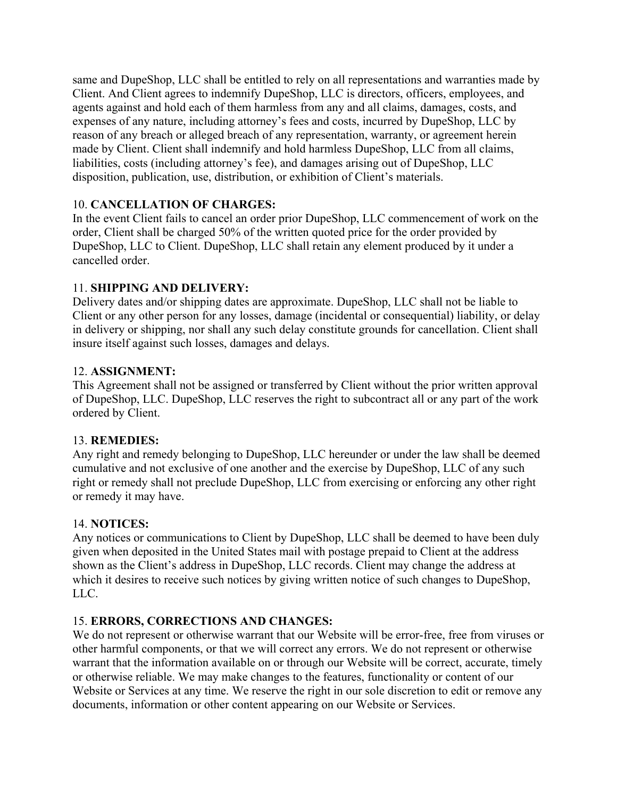same and DupeShop, LLC shall be entitled to rely on all representations and warranties made by Client. And Client agrees to indemnify DupeShop, LLC is directors, officers, employees, and agents against and hold each of them harmless from any and all claims, damages, costs, and expenses of any nature, including attorney's fees and costs, incurred by DupeShop, LLC by reason of any breach or alleged breach of any representation, warranty, or agreement herein made by Client. Client shall indemnify and hold harmless DupeShop, LLC from all claims, liabilities, costs (including attorney's fee), and damages arising out of DupeShop, LLC disposition, publication, use, distribution, or exhibition of Client's materials.

# 10. **CANCELLATION OF CHARGES:**

In the event Client fails to cancel an order prior DupeShop, LLC commencement of work on the order, Client shall be charged 50% of the written quoted price for the order provided by DupeShop, LLC to Client. DupeShop, LLC shall retain any element produced by it under a cancelled order.

## 11. **SHIPPING AND DELIVERY:**

Delivery dates and/or shipping dates are approximate. DupeShop, LLC shall not be liable to Client or any other person for any losses, damage (incidental or consequential) liability, or delay in delivery or shipping, nor shall any such delay constitute grounds for cancellation. Client shall insure itself against such losses, damages and delays.

#### 12. **ASSIGNMENT:**

This Agreement shall not be assigned or transferred by Client without the prior written approval of DupeShop, LLC. DupeShop, LLC reserves the right to subcontract all or any part of the work ordered by Client.

#### 13. **REMEDIES:**

Any right and remedy belonging to DupeShop, LLC hereunder or under the law shall be deemed cumulative and not exclusive of one another and the exercise by DupeShop, LLC of any such right or remedy shall not preclude DupeShop, LLC from exercising or enforcing any other right or remedy it may have.

## 14. **NOTICES:**

Any notices or communications to Client by DupeShop, LLC shall be deemed to have been duly given when deposited in the United States mail with postage prepaid to Client at the address shown as the Client's address in DupeShop, LLC records. Client may change the address at which it desires to receive such notices by giving written notice of such changes to DupeShop, LLC.

## 15. **ERRORS, CORRECTIONS AND CHANGES:**

We do not represent or otherwise warrant that our Website will be error-free, free from viruses or other harmful components, or that we will correct any errors. We do not represent or otherwise warrant that the information available on or through our Website will be correct, accurate, timely or otherwise reliable. We may make changes to the features, functionality or content of our Website or Services at any time. We reserve the right in our sole discretion to edit or remove any documents, information or other content appearing on our Website or Services.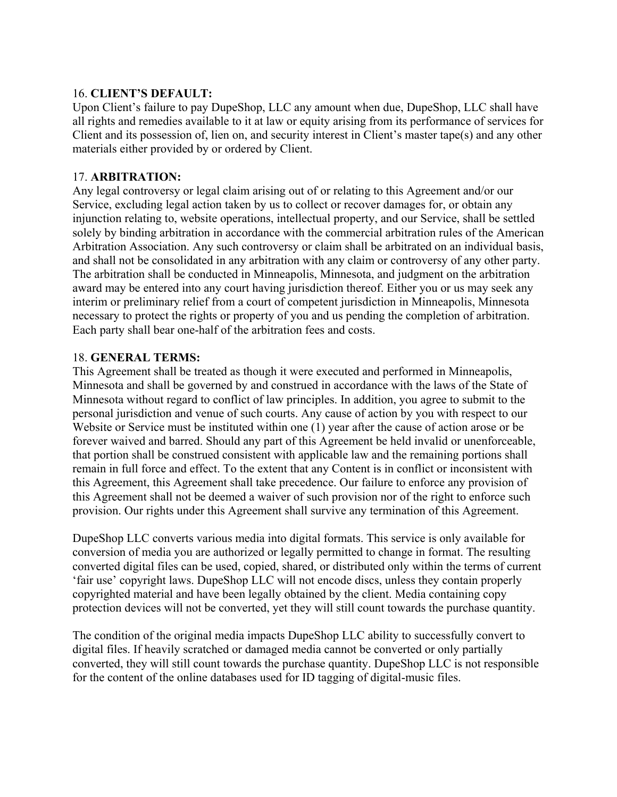#### 16. **CLIENT'S DEFAULT:**

Upon Client's failure to pay DupeShop, LLC any amount when due, DupeShop, LLC shall have all rights and remedies available to it at law or equity arising from its performance of services for Client and its possession of, lien on, and security interest in Client's master tape(s) and any other materials either provided by or ordered by Client.

#### 17. **ARBITRATION:**

Any legal controversy or legal claim arising out of or relating to this Agreement and/or our Service, excluding legal action taken by us to collect or recover damages for, or obtain any injunction relating to, website operations, intellectual property, and our Service, shall be settled solely by binding arbitration in accordance with the commercial arbitration rules of the American Arbitration Association. Any such controversy or claim shall be arbitrated on an individual basis, and shall not be consolidated in any arbitration with any claim or controversy of any other party. The arbitration shall be conducted in Minneapolis, Minnesota, and judgment on the arbitration award may be entered into any court having jurisdiction thereof. Either you or us may seek any interim or preliminary relief from a court of competent jurisdiction in Minneapolis, Minnesota necessary to protect the rights or property of you and us pending the completion of arbitration. Each party shall bear one-half of the arbitration fees and costs.

#### 18. **GENERAL TERMS:**

This Agreement shall be treated as though it were executed and performed in Minneapolis, Minnesota and shall be governed by and construed in accordance with the laws of the State of Minnesota without regard to conflict of law principles. In addition, you agree to submit to the personal jurisdiction and venue of such courts. Any cause of action by you with respect to our Website or Service must be instituted within one (1) year after the cause of action arose or be forever waived and barred. Should any part of this Agreement be held invalid or unenforceable, that portion shall be construed consistent with applicable law and the remaining portions shall remain in full force and effect. To the extent that any Content is in conflict or inconsistent with this Agreement, this Agreement shall take precedence. Our failure to enforce any provision of this Agreement shall not be deemed a waiver of such provision nor of the right to enforce such provision. Our rights under this Agreement shall survive any termination of this Agreement.

DupeShop LLC converts various media into digital formats. This service is only available for conversion of media you are authorized or legally permitted to change in format. The resulting converted digital files can be used, copied, shared, or distributed only within the terms of current 'fair use' copyright laws. DupeShop LLC will not encode discs, unless they contain properly copyrighted material and have been legally obtained by the client. Media containing copy protection devices will not be converted, yet they will still count towards the purchase quantity.

The condition of the original media impacts DupeShop LLC ability to successfully convert to digital files. If heavily scratched or damaged media cannot be converted or only partially converted, they will still count towards the purchase quantity. DupeShop LLC is not responsible for the content of the online databases used for ID tagging of digital-music files.